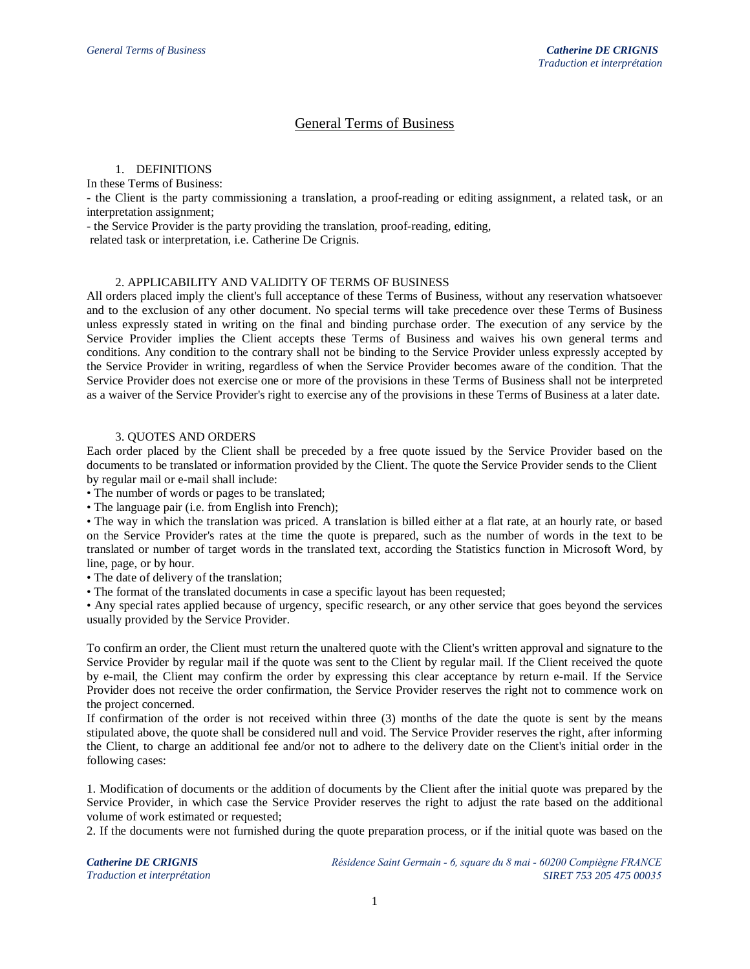# General Terms of Business

# 1. DEFINITIONS

In these Terms of Business:

- the Client is the party commissioning a translation, a proof-reading or editing assignment, a related task, or an interpretation assignment;

- the Service Provider is the party providing the translation, proof-reading, editing,

related task or interpretation, i.e. Catherine De Crignis.

## 2. APPLICABILITY AND VALIDITY OF TERMS OF BUSINESS

All orders placed imply the client's full acceptance of these Terms of Business, without any reservation whatsoever and to the exclusion of any other document. No special terms will take precedence over these Terms of Business unless expressly stated in writing on the final and binding purchase order. The execution of any service by the Service Provider implies the Client accepts these Terms of Business and waives his own general terms and conditions. Any condition to the contrary shall not be binding to the Service Provider unless expressly accepted by the Service Provider in writing, regardless of when the Service Provider becomes aware of the condition. That the Service Provider does not exercise one or more of the provisions in these Terms of Business shall not be interpreted as a waiver of the Service Provider's right to exercise any of the provisions in these Terms of Business at a later date.

## 3. QUOTES AND ORDERS

Each order placed by the Client shall be preceded by a free quote issued by the Service Provider based on the documents to be translated or information provided by the Client. The quote the Service Provider sends to the Client by regular mail or e-mail shall include:

• The number of words or pages to be translated;

• The language pair (i.e. from English into French);

• The way in which the translation was priced. A translation is billed either at a flat rate, at an hourly rate, or based on the Service Provider's rates at the time the quote is prepared, such as the number of words in the text to be translated or number of target words in the translated text, according the Statistics function in Microsoft Word, by line, page, or by hour.

• The date of delivery of the translation;

• The format of the translated documents in case a specific layout has been requested;

• Any special rates applied because of urgency, specific research, or any other service that goes beyond the services usually provided by the Service Provider.

To confirm an order, the Client must return the unaltered quote with the Client's written approval and signature to the Service Provider by regular mail if the quote was sent to the Client by regular mail. If the Client received the quote by e-mail, the Client may confirm the order by expressing this clear acceptance by return e-mail. If the Service Provider does not receive the order confirmation, the Service Provider reserves the right not to commence work on the project concerned.

If confirmation of the order is not received within three (3) months of the date the quote is sent by the means stipulated above, the quote shall be considered null and void. The Service Provider reserves the right, after informing the Client, to charge an additional fee and/or not to adhere to the delivery date on the Client's initial order in the following cases:

1. Modification of documents or the addition of documents by the Client after the initial quote was prepared by the Service Provider, in which case the Service Provider reserves the right to adjust the rate based on the additional volume of work estimated or requested;

2. If the documents were not furnished during the quote preparation process, or if the initial quote was based on the

*Catherine DE CRIGNIS Traduction et interprétation* *Résidence Saint Germain - 6, square du 8 mai - 60200 Compiègne FRANCE SIRET 753 205 475 00035*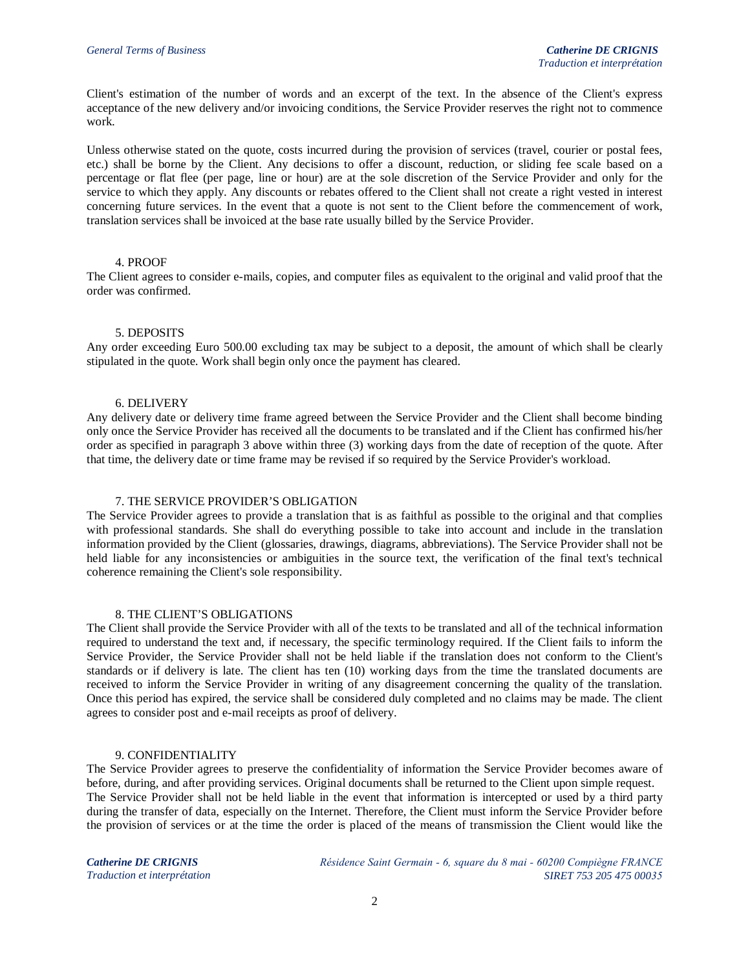Client's estimation of the number of words and an excerpt of the text. In the absence of the Client's express acceptance of the new delivery and/or invoicing conditions, the Service Provider reserves the right not to commence work.

Unless otherwise stated on the quote, costs incurred during the provision of services (travel, courier or postal fees, etc.) shall be borne by the Client. Any decisions to offer a discount, reduction, or sliding fee scale based on a percentage or flat flee (per page, line or hour) are at the sole discretion of the Service Provider and only for the service to which they apply. Any discounts or rebates offered to the Client shall not create a right vested in interest concerning future services. In the event that a quote is not sent to the Client before the commencement of work, translation services shall be invoiced at the base rate usually billed by the Service Provider.

### 4. PROOF

The Client agrees to consider e-mails, copies, and computer files as equivalent to the original and valid proof that the order was confirmed.

### 5. DEPOSITS

Any order exceeding Euro 500.00 excluding tax may be subject to a deposit, the amount of which shall be clearly stipulated in the quote. Work shall begin only once the payment has cleared.

### 6. DELIVERY

Any delivery date or delivery time frame agreed between the Service Provider and the Client shall become binding only once the Service Provider has received all the documents to be translated and if the Client has confirmed his/her order as specified in paragraph 3 above within three (3) working days from the date of reception of the quote. After that time, the delivery date or time frame may be revised if so required by the Service Provider's workload.

### 7. THE SERVICE PROVIDER'S OBLIGATION

The Service Provider agrees to provide a translation that is as faithful as possible to the original and that complies with professional standards. She shall do everything possible to take into account and include in the translation information provided by the Client (glossaries, drawings, diagrams, abbreviations). The Service Provider shall not be held liable for any inconsistencies or ambiguities in the source text, the verification of the final text's technical coherence remaining the Client's sole responsibility.

#### 8. THE CLIENT'S OBLIGATIONS

The Client shall provide the Service Provider with all of the texts to be translated and all of the technical information required to understand the text and, if necessary, the specific terminology required. If the Client fails to inform the Service Provider, the Service Provider shall not be held liable if the translation does not conform to the Client's standards or if delivery is late. The client has ten (10) working days from the time the translated documents are received to inform the Service Provider in writing of any disagreement concerning the quality of the translation. Once this period has expired, the service shall be considered duly completed and no claims may be made. The client agrees to consider post and e-mail receipts as proof of delivery.

## 9. CONFIDENTIALITY

The Service Provider agrees to preserve the confidentiality of information the Service Provider becomes aware of before, during, and after providing services. Original documents shall be returned to the Client upon simple request. The Service Provider shall not be held liable in the event that information is intercepted or used by a third party during the transfer of data, especially on the Internet. Therefore, the Client must inform the Service Provider before the provision of services or at the time the order is placed of the means of transmission the Client would like the

*Catherine DE CRIGNIS Traduction et interprétation* *Résidence Saint Germain - 6, square du 8 mai - 60200 Compiègne FRANCE SIRET 753 205 475 00035*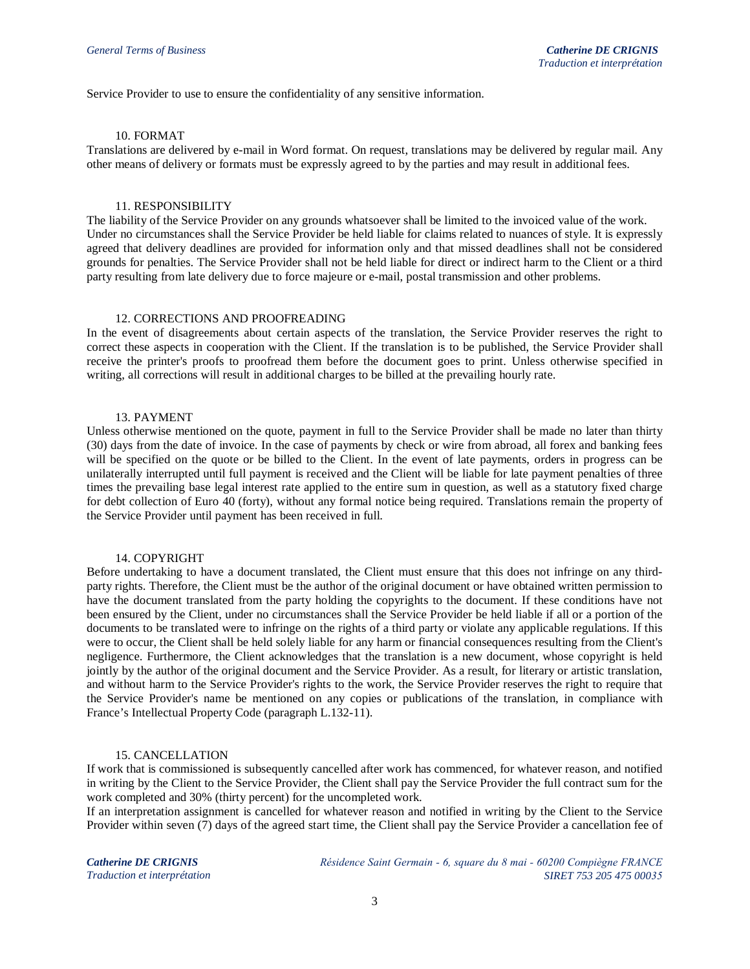Service Provider to use to ensure the confidentiality of any sensitive information.

### 10. FORMAT

Translations are delivered by e-mail in Word format. On request, translations may be delivered by regular mail. Any other means of delivery or formats must be expressly agreed to by the parties and may result in additional fees.

#### 11. RESPONSIBILITY

The liability of the Service Provider on any grounds whatsoever shall be limited to the invoiced value of the work. Under no circumstances shall the Service Provider be held liable for claims related to nuances of style. It is expressly agreed that delivery deadlines are provided for information only and that missed deadlines shall not be considered grounds for penalties. The Service Provider shall not be held liable for direct or indirect harm to the Client or a third party resulting from late delivery due to force majeure or e-mail, postal transmission and other problems.

#### 12. CORRECTIONS AND PROOFREADING

In the event of disagreements about certain aspects of the translation, the Service Provider reserves the right to correct these aspects in cooperation with the Client. If the translation is to be published, the Service Provider shall receive the printer's proofs to proofread them before the document goes to print. Unless otherwise specified in writing, all corrections will result in additional charges to be billed at the prevailing hourly rate.

### 13. PAYMENT

Unless otherwise mentioned on the quote, payment in full to the Service Provider shall be made no later than thirty (30) days from the date of invoice. In the case of payments by check or wire from abroad, all forex and banking fees will be specified on the quote or be billed to the Client. In the event of late payments, orders in progress can be unilaterally interrupted until full payment is received and the Client will be liable for late payment penalties of three times the prevailing base legal interest rate applied to the entire sum in question, as well as a statutory fixed charge for debt collection of Euro 40 (forty), without any formal notice being required. Translations remain the property of the Service Provider until payment has been received in full.

### 14. COPYRIGHT

Before undertaking to have a document translated, the Client must ensure that this does not infringe on any thirdparty rights. Therefore, the Client must be the author of the original document or have obtained written permission to have the document translated from the party holding the copyrights to the document. If these conditions have not been ensured by the Client, under no circumstances shall the Service Provider be held liable if all or a portion of the documents to be translated were to infringe on the rights of a third party or violate any applicable regulations. If this were to occur, the Client shall be held solely liable for any harm or financial consequences resulting from the Client's negligence. Furthermore, the Client acknowledges that the translation is a new document, whose copyright is held jointly by the author of the original document and the Service Provider. As a result, for literary or artistic translation, and without harm to the Service Provider's rights to the work, the Service Provider reserves the right to require that the Service Provider's name be mentioned on any copies or publications of the translation, in compliance with France's Intellectual Property Code (paragraph L.132-11).

### 15. CANCELLATION

If work that is commissioned is subsequently cancelled after work has commenced, for whatever reason, and notified in writing by the Client to the Service Provider, the Client shall pay the Service Provider the full contract sum for the work completed and 30% (thirty percent) for the uncompleted work.

If an interpretation assignment is cancelled for whatever reason and notified in writing by the Client to the Service Provider within seven (7) days of the agreed start time, the Client shall pay the Service Provider a cancellation fee of

*Catherine DE CRIGNIS Traduction et interprétation* *Résidence Saint Germain - 6, square du 8 mai - 60200 Compiègne FRANCE SIRET 753 205 475 00035*